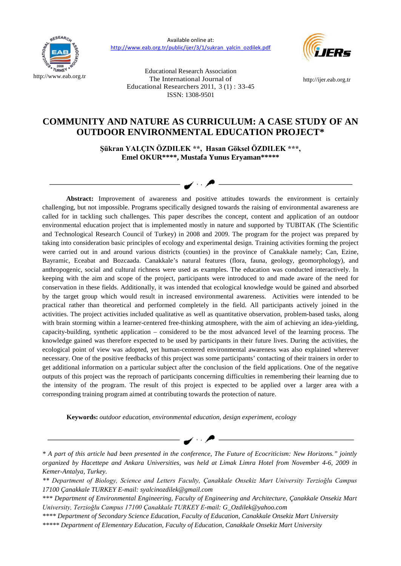

Available online at: [http://www.eab.org.tr/public/ijer/3/1/sukran\\_yalcin\\_ozdilek.pdf](http://www.eab.org.tr/public/ijer/3/1/sukran_yalcin_ozdilek.pdf)

> Educational Research Association The International Journal of



[http://ijer.eab.org.tr](http://ijer.eab.org.tr/)

# Educational Researchers 2011, 3 (1) : 33-45 ISSN: 1308-9501

## **COMMUNITY AND NATURE AS CURRICULUM: A CASE STUDY OF AN OUTDOOR ENVIRONMENTAL EDUCATION PROJECT\***

**Şükran YALÇIN ÖZDILEK \*\*, Hasan Göksel ÖZDILEK \*\*\*, Emel OKUR\*\*\*\*, Mustafa Yunus Eryaman\*\*\*\*\***

**Abstract:** Improvement of awareness and positive attitudes towards the environment is certainly challenging, but not impossible. Programs specifically designed towards the raising of environmental awareness are called for in tackling such challenges. This paper describes the concept, content and application of an outdoor environmental education project that is implemented mostly in nature and supported by TUBITAK (The Scientific and Technological Research Council of Turkey) in 2008 and 2009. The program for the project was prepared by taking into consideration basic principles of ecology and experimental design. Training activities forming the project were carried out in and around various districts (counties) in the province of Canakkale namely; Can, Ezine, Bayramic, Eceabat and Bozcaada. Canakkale's natural features (flora, fauna, geology, geomorphology), and anthropogenic, social and cultural richness were used as examples. The education was conducted interactively. In keeping with the aim and scope of the project, participants were introduced to and made aware of the need for conservation in these fields. Additionally, it was intended that ecological knowledge would be gained and absorbed by the target group which would result in increased environmental awareness. Activities were intended to be practical rather than theoretical and performed completely in the field. All participants actively joined in the activities. The project activities included qualitative as well as quantitative observation, problem-based tasks, along with brain storming within a learner-centered free-thinking atmosphere, with the aim of achieving an idea-yielding, capacity-building, synthetic application – considered to be the most advanced level of the learning process. The knowledge gained was therefore expected to be used by participants in their future lives. During the activities, the ecological point of view was adopted, yet human-centered environmental awareness was also explained wherever necessary. One of the positive feedbacks of this project was some participants' contacting of their trainers in order to get additional information on a particular subject after the conclusion of the field applications. One of the negative outputs of this project was the reproach of participants concerning difficulties in remembering their learning due to the intensity of the program. The result of this project is expected to be applied over a larger area with a corresponding training program aimed at contributing towards the protection of nature.

**Keywords:** *outdoor education, environmental education, design experiment, ecology*

*<sup>\*</sup> A part of this article had been presented in the conference, The Future of Ecocriticism: New Horizons." jointly organized by Hacettepe and Ankara Universities, was held at Limak Limra Hotel from November 4-6, 2009 in Kemer-Antalya, Turkey.* 

*<sup>\*\*</sup> Department of Biology, Science and Letters Faculty, Çanakkale Onsekiz Mart University Terzioğlu Campus 17100 Çanakkale TURKEY E-mail: syalcinozdilek@gmail.com*

*<sup>\*\*\*</sup> Department of Environmental Engineering, Faculty of Engineering and Architecture, Çanakkale Onsekiz Mart University, Terzioğlu Campus 17100 Çanakkale TURKEY E-mail: G\_Ozdilek@yahoo.com*

*<sup>\*\*\*\*</sup> Department of Secondary Science Education, Faculty of Education, Canakkale Onsekiz Mart University*

*<sup>\*\*\*\*\*</sup> Department of Elementary Education, Faculty of Education, Canakkale Onsekiz Mart University*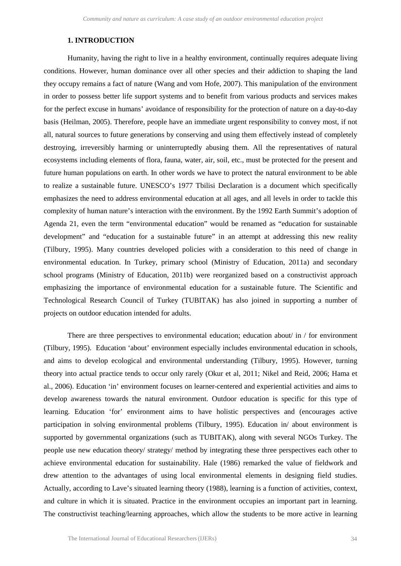### **1. INTRODUCTION**

Humanity, having the right to live in a healthy environment, continually requires adequate living conditions. However, human dominance over all other species and their addiction to shaping the land they occupy remains a fact of nature (Wang and vom Hofe, 2007). This manipulation of the environment in order to possess better life support systems and to benefit from various products and services makes for the perfect excuse in humans' avoidance of responsibility for the protection of nature on a day-to-day basis (Heilman, 2005). Therefore, people have an immediate urgent responsibility to convey most, if not all, natural sources to future generations by conserving and using them effectively instead of completely destroying, irreversibly harming or uninterruptedly abusing them. All the representatives of natural ecosystems including elements of flora, fauna, water, air, soil, etc., must be protected for the present and future human populations on earth. In other words we have to protect the natural environment to be able to realize a sustainable future. UNESCO's 1977 Tbilisi Declaration is a document which specifically emphasizes the need to address environmental education at all ages, and all levels in order to tackle this complexity of human nature's interaction with the environment. By the 1992 Earth Summit's adoption of Agenda 21, even the term "environmental education" would be renamed as "education for sustainable development" and "education for a sustainable future" in an attempt at addressing this new reality (Tilbury, 1995). Many countries developed policies with a consideration to this need of change in environmental education. In Turkey, primary school (Ministry of Education, 2011a) and secondary school programs (Ministry of Education, 2011b) were reorganized based on a constructivist approach emphasizing the importance of environmental education for a sustainable future. The Scientific and Technological Research Council of Turkey (TUBITAK) has also joined in supporting a number of projects on outdoor education intended for adults.

There are three perspectives to environmental education; education about  $\pi$  in  $\pi$  for environment (Tilbury, 1995). Education 'about' environment especially includes environmental education in schools, and aims to develop ecological and environmental understanding (Tilbury, 1995). However, turning theory into actual practice tends to occur only rarely (Okur et al, 2011; Nikel and Reid, 2006; Hama et al., 2006). Education 'in' environment focuses on learner-centered and experiential activities and aims to develop awareness towards the natural environment. Outdoor education is specific for this type of learning. Education 'for' environment aims to have holistic perspectives and (encourages active participation in solving environmental problems (Tilbury, 1995). Education in/ about environment is supported by governmental organizations (such as TUBITAK), along with several NGOs Turkey. The people use new education theory/ strategy/ method by integrating these three perspectives each other to achieve environmental education for sustainability. Hale (1986) remarked the value of fieldwork and drew attention to the advantages of using local environmental elements in designing field studies. Actually, according to Lave's situated learning theory (1988), learning is a function of activities, context, and culture in which it is situated. Practice in the environment occupies an important part in learning. The constructivist teaching/learning approaches, which allow the students to be more active in learning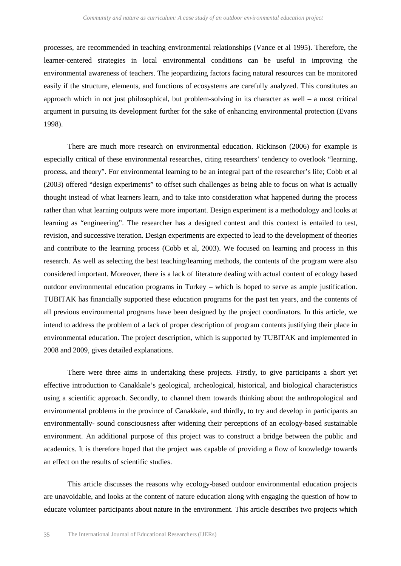processes, are recommended in teaching environmental relationships (Vance et al 1995). Therefore, the learner-centered strategies in local environmental conditions can be useful in improving the environmental awareness of teachers. The jeopardizing factors facing natural resources can be monitored easily if the structure, elements, and functions of ecosystems are carefully analyzed. This constitutes an approach which in not just philosophical, but problem-solving in its character as well – a most critical argument in pursuing its development further for the sake of enhancing environmental protection (Evans 1998).

There are much more research on environmental education. Rickinson (2006) for example is especially critical of these environmental researches, citing researchers' tendency to overlook "learning, process, and theory". For environmental learning to be an integral part of the researcher's life; Cobb et al (2003) offered "design experiments" to offset such challenges as being able to focus on what is actually thought instead of what learners learn, and to take into consideration what happened during the process rather than what learning outputs were more important. Design experiment is a methodology and looks at learning as "engineering". The researcher has a designed context and this context is entailed to test, revision, and successive iteration. Design experiments are expected to lead to the development of theories and contribute to the learning process (Cobb et al, 2003). We focused on learning and process in this research. As well as selecting the best teaching/learning methods, the contents of the program were also considered important. Moreover, there is a lack of literature dealing with actual content of ecology based outdoor environmental education programs in Turkey – which is hoped to serve as ample justification. TUBITAK has financially supported these education programs for the past ten years, and the contents of all previous environmental programs have been designed by the project coordinators. In this article, we intend to address the problem of a lack of proper description of program contents justifying their place in environmental education. The project description, which is supported by TUBITAK and implemented in 2008 and 2009, gives detailed explanations.

There were three aims in undertaking these projects. Firstly, to give participants a short yet effective introduction to Canakkale's geological, archeological, historical, and biological characteristics using a scientific approach. Secondly, to channel them towards thinking about the anthropological and environmental problems in the province of Canakkale, and thirdly, to try and develop in participants an environmentally- sound consciousness after widening their perceptions of an ecology-based sustainable environment. An additional purpose of this project was to construct a bridge between the public and academics. It is therefore hoped that the project was capable of providing a flow of knowledge towards an effect on the results of scientific studies.

This article discusses the reasons why ecology-based outdoor environmental education projects are unavoidable, and looks at the content of nature education along with engaging the question of how to educate volunteer participants about nature in the environment. This article describes two projects which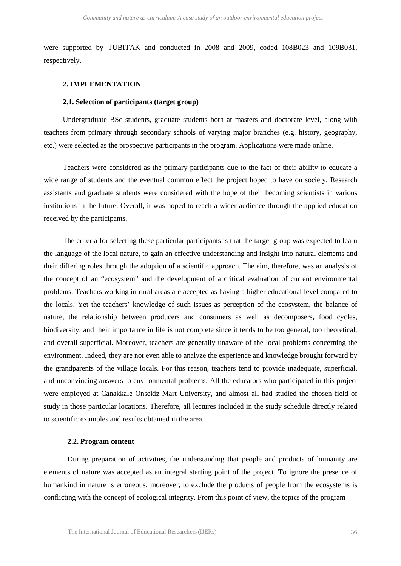were supported by TUBITAK and conducted in 2008 and 2009, coded 108B023 and 109B031, respectively.

#### **2. IMPLEMENTATION**

#### **2.1. Selection of participants (target group)**

Undergraduate BSc students, graduate students both at masters and doctorate level, along with teachers from primary through secondary schools of varying major branches (e.g. history, geography, etc.) were selected as the prospective participants in the program. Applications were made online.

Teachers were considered as the primary participants due to the fact of their ability to educate a wide range of students and the eventual common effect the project hoped to have on society. Research assistants and graduate students were considered with the hope of their becoming scientists in various institutions in the future. Overall, it was hoped to reach a wider audience through the applied education received by the participants.

The criteria for selecting these particular participants is that the target group was expected to learn the language of the local nature, to gain an effective understanding and insight into natural elements and their differing roles through the adoption of a scientific approach. The aim, therefore, was an analysis of the concept of an "ecosystem" and the development of a critical evaluation of current environmental problems. Teachers working in rural areas are accepted as having a higher educational level compared to the locals. Yet the teachers' knowledge of such issues as perception of the ecosystem, the balance of nature, the relationship between producers and consumers as well as decomposers, food cycles, biodiversity, and their importance in life is not complete since it tends to be too general, too theoretical, and overall superficial. Moreover, teachers are generally unaware of the local problems concerning the environment. Indeed, they are not even able to analyze the experience and knowledge brought forward by the grandparents of the village locals. For this reason, teachers tend to provide inadequate, superficial, and unconvincing answers to environmental problems. All the educators who participated in this project were employed at Canakkale Onsekiz Mart University, and almost all had studied the chosen field of study in those particular locations. Therefore, all lectures included in the study schedule directly related to scientific examples and results obtained in the area.

#### **2.2. Program content**

During preparation of activities, the understanding that people and products of humanity are elements of nature was accepted as an integral starting point of the project. To ignore the presence of humankind in nature is erroneous; moreover, to exclude the products of people from the ecosystems is conflicting with the concept of ecological integrity. From this point of view, the topics of the program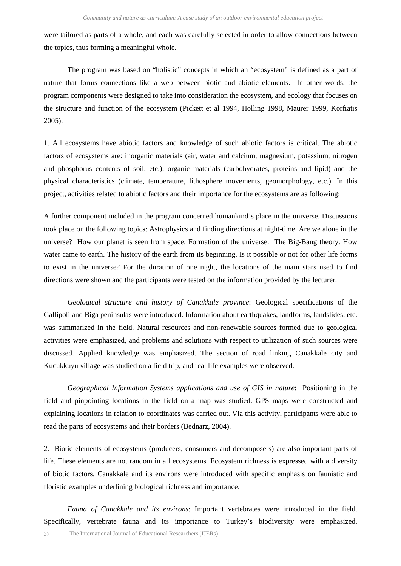were tailored as parts of a whole, and each was carefully selected in order to allow connections between the topics, thus forming a meaningful whole.

The program was based on "holistic" concepts in which an "ecosystem" is defined as a part of nature that forms connections like a web between biotic and abiotic elements. In other words, the program components were designed to take into consideration the ecosystem, and ecology that focuses on the structure and function of the ecosystem (Pickett et al 1994, Holling 1998, Maurer 1999, Korfiatis 2005).

1. All ecosystems have abiotic factors and knowledge of such abiotic factors is critical. The abiotic factors of ecosystems are: inorganic materials (air, water and calcium, magnesium, potassium, nitrogen and phosphorus contents of soil, etc.), organic materials (carbohydrates, proteins and lipid) and the physical characteristics (climate, temperature, lithosphere movements, geomorphology, etc.). In this project, activities related to abiotic factors and their importance for the ecosystems are as following:

A further component included in the program concerned humankind's place in the universe. Discussions took place on the following topics: Astrophysics and finding directions at night-time. Are we alone in the universe? How our planet is seen from space. Formation of the universe. The Big-Bang theory. How water came to earth. The history of the earth from its beginning. Is it possible or not for other life forms to exist in the universe? For the duration of one night, the locations of the main stars used to find directions were shown and the participants were tested on the information provided by the lecturer.

*Geological structure and history of Canakkale province*: Geological specifications of the Gallipoli and Biga peninsulas were introduced. Information about earthquakes, landforms, landslides, etc. was summarized in the field. Natural resources and non-renewable sources formed due to geological activities were emphasized, and problems and solutions with respect to utilization of such sources were discussed. Applied knowledge was emphasized. The section of road linking Canakkale city and Kucukkuyu village was studied on a field trip, and real life examples were observed.

*Geographical Information Systems applications and use of GIS in nature*: Positioning in the field and pinpointing locations in the field on a map was studied. GPS maps were constructed and explaining locations in relation to coordinates was carried out. Via this activity, participants were able to read the parts of ecosystems and their borders (Bednarz, 2004).

2. Biotic elements of ecosystems (producers, consumers and decomposers) are also important parts of life. These elements are not random in all ecosystems. Ecosystem richness is expressed with a diversity of biotic factors. Canakkale and its environs were introduced with specific emphasis on faunistic and floristic examples underlining biological richness and importance.

*Fauna of Canakkale and its environs*: Important vertebrates were introduced in the field. Specifically, vertebrate fauna and its importance to Turkey's biodiversity were emphasized.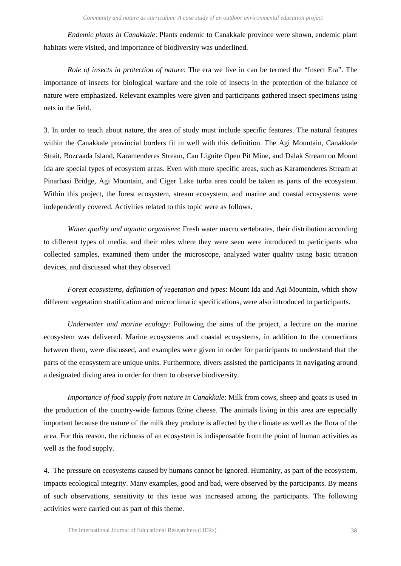*Endemic plants in Canakkale*: Plants endemic to Canakkale province were shown, endemic plant habitats were visited, and importance of biodiversity was underlined.

*Role of insects in protection of nature*: The era we live in can be termed the "Insect Era". The importance of insects for biological warfare and the role of insects in the protection of the balance of nature were emphasized. Relevant examples were given and participants gathered insect specimens using nets in the field.

3. In order to teach about nature, the area of study must include specific features. The natural features within the Canakkale provincial borders fit in well with this definition. The Agi Mountain, Canakkale Strait, Bozcaada Island, Karamenderes Stream, Can Lignite Open Pit Mine, and Dalak Stream on Mount Ida are special types of ecosystem areas. Even with more specific areas, such as Karamenderes Stream at Pinarbasi Bridge, Agi Mountain, and Ciger Lake turba area could be taken as parts of the ecosystem. Within this project, the forest ecosystem, stream ecosystem, and marine and coastal ecosystems were independently covered. Activities related to this topic were as follows.

*Water quality and aquatic organisms*: Fresh water macro vertebrates, their distribution according to different types of media, and their roles where they were seen were introduced to participants who collected samples, examined them under the microscope, analyzed water quality using basic titration devices, and discussed what they observed.

*Forest ecosystems, definition of vegetation and types*: Mount Ida and Agi Mountain, which show different vegetation stratification and microclimatic specifications, were also introduced to participants.

*Underwater and marine ecology*: Following the aims of the project, a lecture on the marine ecosystem was delivered. Marine ecosystems and coastal ecosystems, in addition to the connections between them, were discussed, and examples were given in order for participants to understand that the parts of the ecosystem are unique units. Furthermore, divers assisted the participants in navigating around a designated diving area in order for them to observe biodiversity.

*Importance of food supply from nature in Canakkale*: Milk from cows, sheep and goats is used in the production of the country-wide famous Ezine cheese. The animals living in this area are especially important because the nature of the milk they produce is affected by the climate as well as the flora of the area. For this reason, the richness of an ecosystem is indispensable from the point of human activities as well as the food supply.

4. The pressure on ecosystems caused by humans cannot be ignored. Humanity, as part of the ecosystem, impacts ecological integrity. Many examples, good and bad, were observed by the participants. By means of such observations, sensitivity to this issue was increased among the participants. The following activities were carried out as part of this theme.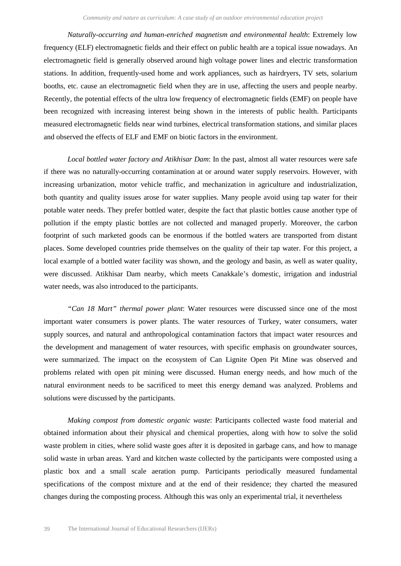*Naturally-occurring and human-enriched magnetism and environmental health*: Extremely low frequency (ELF) electromagnetic fields and their effect on public health are a topical issue nowadays. An electromagnetic field is generally observed around high voltage power lines and electric transformation stations. In addition, frequently-used home and work appliances, such as hairdryers, TV sets, solarium booths, etc. cause an electromagnetic field when they are in use, affecting the users and people nearby. Recently, the potential effects of the ultra low frequency of electromagnetic fields (EMF) on people have been recognized with increasing interest being shown in the interests of public health. Participants measured electromagnetic fields near wind turbines, electrical transformation stations, and similar places and observed the effects of ELF and EMF on biotic factors in the environment.

*Local bottled water factory and Atikhisar Dam*: In the past, almost all water resources were safe if there was no naturally-occurring contamination at or around water supply reservoirs. However, with increasing urbanization, motor vehicle traffic, and mechanization in agriculture and industrialization, both quantity and quality issues arose for water supplies. Many people avoid using tap water for their potable water needs. They prefer bottled water, despite the fact that plastic bottles cause another type of pollution if the empty plastic bottles are not collected and managed properly. Moreover, the carbon footprint of such marketed goods can be enormous if the bottled waters are transported from distant places. Some developed countries pride themselves on the quality of their tap water. For this project, a local example of a bottled water facility was shown, and the geology and basin, as well as water quality, were discussed. Atikhisar Dam nearby, which meets Canakkale's domestic, irrigation and industrial water needs, was also introduced to the participants.

*"Can 18 Mart" thermal power plant*: Water resources were discussed since one of the most important water consumers is power plants. The water resources of Turkey, water consumers, water supply sources, and natural and anthropological contamination factors that impact water resources and the development and management of water resources, with specific emphasis on groundwater sources, were summarized. The impact on the ecosystem of Can Lignite Open Pit Mine was observed and problems related with open pit mining were discussed. Human energy needs, and how much of the natural environment needs to be sacrificed to meet this energy demand was analyzed. Problems and solutions were discussed by the participants.

*Making compost from domestic organic waste*: Participants collected waste food material and obtained information about their physical and chemical properties, along with how to solve the solid waste problem in cities, where solid waste goes after it is deposited in garbage cans, and how to manage solid waste in urban areas. Yard and kitchen waste collected by the participants were composted using a plastic box and a small scale aeration pump. Participants periodically measured fundamental specifications of the compost mixture and at the end of their residence; they charted the measured changes during the composting process. Although this was only an experimental trial, it nevertheless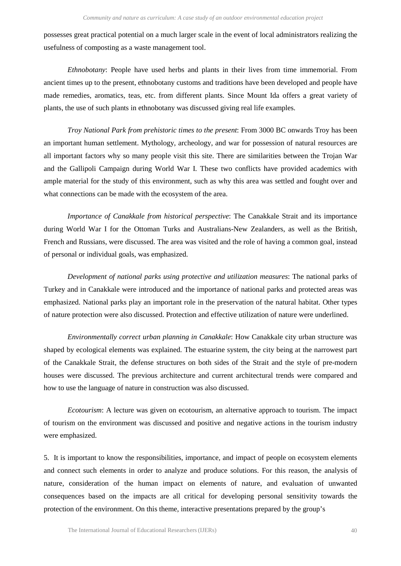possesses great practical potential on a much larger scale in the event of local administrators realizing the usefulness of composting as a waste management tool.

*Ethnobotany*: People have used herbs and plants in their lives from time immemorial. From ancient times up to the present, ethnobotany customs and traditions have been developed and people have made remedies, aromatics, teas, etc. from different plants. Since Mount Ida offers a great variety of plants, the use of such plants in ethnobotany was discussed giving real life examples.

*Troy National Park from prehistoric times to the present*: From 3000 BC onwards Troy has been an important human settlement. Mythology, archeology, and war for possession of natural resources are all important factors why so many people visit this site. There are similarities between the Trojan War and the Gallipoli Campaign during World War I. These two conflicts have provided academics with ample material for the study of this environment, such as why this area was settled and fought over and what connections can be made with the ecosystem of the area.

*Importance of Canakkale from historical perspective*: The Canakkale Strait and its importance during World War I for the Ottoman Turks and Australians-New Zealanders, as well as the British, French and Russians, were discussed. The area was visited and the role of having a common goal, instead of personal or individual goals, was emphasized.

*Development of national parks using protective and utilization measures*: The national parks of Turkey and in Canakkale were introduced and the importance of national parks and protected areas was emphasized. National parks play an important role in the preservation of the natural habitat. Other types of nature protection were also discussed. Protection and effective utilization of nature were underlined.

*Environmentally correct urban planning in Canakkale*: How Canakkale city urban structure was shaped by ecological elements was explained. The estuarine system, the city being at the narrowest part of the Canakkale Strait, the defense structures on both sides of the Strait and the style of pre-modern houses were discussed. The previous architecture and current architectural trends were compared and how to use the language of nature in construction was also discussed.

*Ecotourism*: A lecture was given on ecotourism, an alternative approach to tourism. The impact of tourism on the environment was discussed and positive and negative actions in the tourism industry were emphasized.

5. It is important to know the responsibilities, importance, and impact of people on ecosystem elements and connect such elements in order to analyze and produce solutions. For this reason, the analysis of nature, consideration of the human impact on elements of nature, and evaluation of unwanted consequences based on the impacts are all critical for developing personal sensitivity towards the protection of the environment. On this theme, interactive presentations prepared by the group's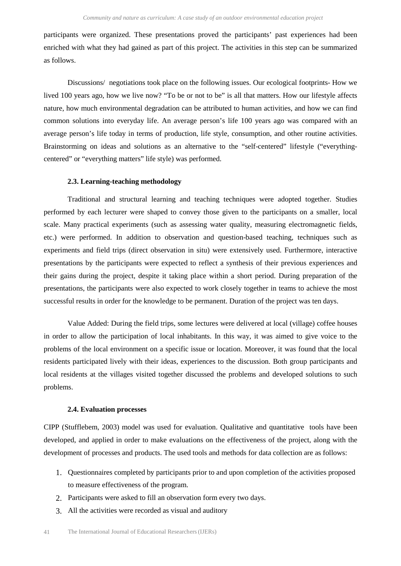participants were organized. These presentations proved the participants' past experiences had been enriched with what they had gained as part of this project. The activities in this step can be summarized as follows.

Discussions/ negotiations took place on the following issues. Our ecological footprints- How we lived 100 years ago, how we live now? "To be or not to be" is all that matters. How our lifestyle affects nature, how much environmental degradation can be attributed to human activities, and how we can find common solutions into everyday life. An average person's life 100 years ago was compared with an average person's life today in terms of production, life style, consumption, and other routine activities. Brainstorming on ideas and solutions as an alternative to the "self-centered" lifestyle ("everythingcentered" or "everything matters" life style) was performed.

#### **2.3. Learning-teaching methodology**

Traditional and structural learning and teaching techniques were adopted together. Studies performed by each lecturer were shaped to convey those given to the participants on a smaller, local scale. Many practical experiments (such as assessing water quality, measuring electromagnetic fields, etc.) were performed. In addition to observation and question-based teaching, techniques such as experiments and field trips (direct observation in situ) were extensively used. Furthermore, interactive presentations by the participants were expected to reflect a synthesis of their previous experiences and their gains during the project, despite it taking place within a short period. During preparation of the presentations, the participants were also expected to work closely together in teams to achieve the most successful results in order for the knowledge to be permanent. Duration of the project was ten days.

Value Added: During the field trips, some lectures were delivered at local (village) coffee houses in order to allow the participation of local inhabitants. In this way, it was aimed to give voice to the problems of the local environment on a specific issue or location. Moreover, it was found that the local residents participated lively with their ideas, experiences to the discussion. Both group participants and local residents at the villages visited together discussed the problems and developed solutions to such problems.

#### **2.4. Evaluation processes**

CIPP (Stufflebem, 2003) model was used for evaluation. Qualitative and quantitative tools have been developed, and applied in order to make evaluations on the effectiveness of the project, along with the development of processes and products. The used tools and methods for data collection are as follows:

- 1. Questionnaires completed by participants prior to and upon completion of the activities proposed to measure effectiveness of the program.
- 2. Participants were asked to fill an observation form every two days.
- 3. All the activities were recorded as visual and auditory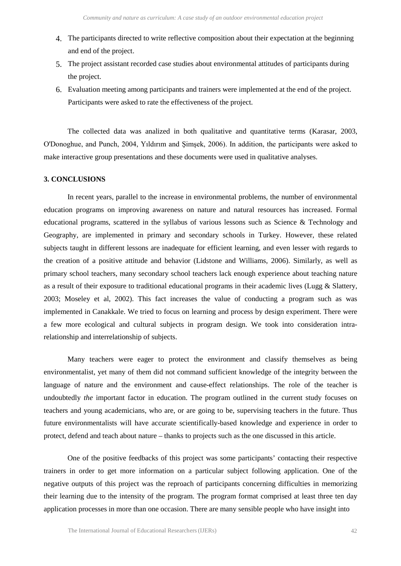- 4. The participants directed to write reflective composition about their expectation at the beginning and end of the project.
- 5. The project assistant recorded case studies about environmental attitudes of participants during the project.
- 6. Evaluation meeting among participants and trainers were implemented at the end of the project. Participants were asked to rate the effectiveness of the project.

The collected data was analized in both qualitative and quantitative terms (Karasar, 2003, O'Donoghue, and Punch, 2004, Yıldırım and Şimşek, 2006). In addition, the participants were asked to make interactive group presentations and these documents were used in qualitative analyses.

#### **3. CONCLUSIONS**

In recent years, parallel to the increase in environmental problems, the number of environmental education programs on improving awareness on nature and natural resources has increased. Formal educational programs, scattered in the syllabus of various lessons such as Science & Technology and Geography, are implemented in primary and secondary schools in Turkey. However, these related subjects taught in different lessons are inadequate for efficient learning, and even lesser with regards to the creation of a positive attitude and behavior (Lidstone and Williams, 2006). Similarly, as well as primary school teachers, many secondary school teachers lack enough experience about teaching nature as a result of their exposure to traditional educational programs in their academic lives (Lugg  $\&$  Slattery, 2003; Moseley et al, 2002). This fact increases the value of conducting a program such as was implemented in Canakkale. We tried to focus on learning and process by design experiment. There were a few more ecological and cultural subjects in program design. We took into consideration intrarelationship and interrelationship of subjects.

Many teachers were eager to protect the environment and classify themselves as being environmentalist, yet many of them did not command sufficient knowledge of the integrity between the language of nature and the environment and cause-effect relationships. The role of the teacher is undoubtedly *the* important factor in education. The program outlined in the current study focuses on teachers and young academicians, who are, or are going to be, supervising teachers in the future. Thus future environmentalists will have accurate scientifically-based knowledge and experience in order to protect, defend and teach about nature – thanks to projects such as the one discussed in this article.

One of the positive feedbacks of this project was some participants' contacting their respective trainers in order to get more information on a particular subject following application. One of the negative outputs of this project was the reproach of participants concerning difficulties in memorizing their learning due to the intensity of the program. The program format comprised at least three ten day application processes in more than one occasion. There are many sensible people who have insight into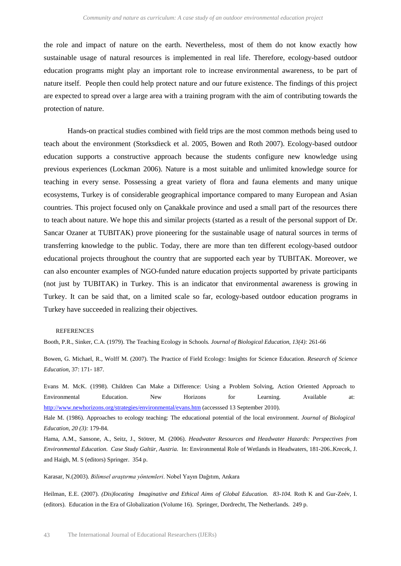the role and impact of nature on the earth. Nevertheless, most of them do not know exactly how sustainable usage of natural resources is implemented in real life. Therefore, ecology-based outdoor education programs might play an important role to increase environmental awareness, to be part of nature itself. People then could help protect nature and our future existence. The findings of this project are expected to spread over a large area with a training program with the aim of contributing towards the protection of nature.

Hands-on practical studies combined with field trips are the most common methods being used to teach about the environment (Storksdieck et al. 2005, Bowen and Roth 2007). Ecology-based outdoor education supports a constructive approach because the students configure new knowledge using previous experiences (Lockman 2006). Nature is a most suitable and unlimited knowledge source for teaching in every sense. Possessing a great variety of flora and fauna elements and many unique ecosystems, Turkey is of considerable geographical importance compared to many European and Asian countries. This project focused only on Çanakkale province and used a small part of the resources there to teach about nature. We hope this and similar projects (started as a result of the personal support of Dr. Sancar Ozaner at TUBITAK) prove pioneering for the sustainable usage of natural sources in terms of transferring knowledge to the public. Today, there are more than ten different ecology-based outdoor educational projects throughout the country that are supported each year by TUBITAK. Moreover, we can also encounter examples of NGO-funded nature education projects supported by private participants (not just by TUBITAK) in Turkey. This is an indicator that environmental awareness is growing in Turkey. It can be said that, on a limited scale so far, ecology-based outdoor education programs in Turkey have succeeded in realizing their objectives.

#### **REFERENCES**

Booth, P.R., Sinker, C.A. (1979). The Teaching Ecology in Schools*. Journal of Biological Education*, *13(4):* 261-66

Bowen, G. Michael, R., Wolff M. (2007). The Practice of Field Ecology: Insights for Science Education. *Research of Science Education*, 37: 171- 187.

Evans M. McK. (1998). Children Can Make a Difference: Using a Problem Solving, Action Oriented Approach to Environmental Education. New Horizons for Learning. Available at: <http://www.newhorizons.org/strategies/environmental/evans.htm> (accesssed 13 September 2010).

Hale M. (1986). Approaches to ecology teaching: The educational potential of the local environment. *Journal of Biological Education, 20 (3):* 179-84.

Hama, A.M., Sansone, A., Seitz, J., Stötrer, M. (2006). *Headwater Resources and Headwater Hazards: Perspectives from Environmental Education. Case Study Galtür, Austria*. In: Environmental Role of Wetlands in Headwaters, 181-206..Krecek, J. and Haigh, M. S (editors) Springer. 354 p.

Karasar, N.(2003). *Bilimsel araştırma yöntemleri*. Nobel Yayın Dağıtım, Ankara

Heilman, E.E. (2007). *(Dis)locating Imaginative and Ethical Aims of Global Education. 83-104.* Roth K and Gur-Zeév, I. (editors). Education in the Era of Globalization (Volume 16). Springer, Dordrecht, The Netherlands. 249 p.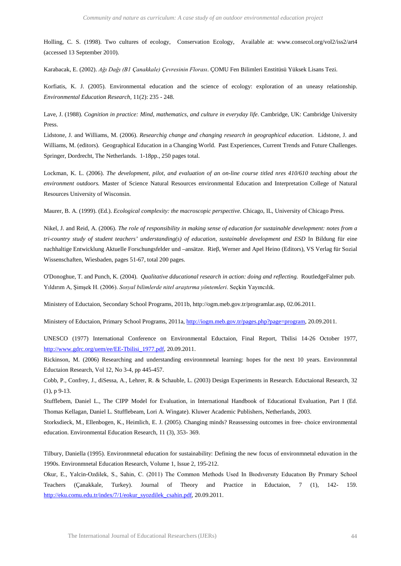Holling, C. S. (1998). Two cultures of ecology, Conservation Ecology, Available at: www.consecol.org/vol2/iss2/art4 (accessed 13 September 2010).

Karabacak, E. (2002). *Ağı Dağı (B1 Çanakkale) Çevresinin Florası*. ÇOMU Fen Bilimleri Enstitüsü Yüksek Lisans Tezi.

Korfiatis, K. J. (2005). Environmental education and the science of ecology: exploration of an uneasy relationship. *Environmental Education Research,* 11(2): 235 - 248.

Lave, J. (1988). *Cognition in practice: Mind, mathematics, and culture in everyday life*. Cambridge, UK: Cambridge University Press.

Lidstone, J. and Williams, M. (2006). *Researchig change and changing research in geographical education.* Lidstone, J. and Williams, M. (editors). Geographical Education in a Changing World. Past Experiences, Current Trends and Future Challenges. Springer, Dordrecht, The Netherlands. 1-18pp., 250 pages total.

Lockman, K. L. (2006). *The development, pilot, and evaluation of an on-line course titled nres 410/610 teaching about the environment outdoors.* Master of Science Natural Resources environmental Education and Interpretation College of Natural Resources University of Wisconsin.

Maurer, B. A. (1999). (Ed.). *Ecological complexity: the macroscopic perspective*. Chicago, IL, University of Chicago Press.

Nikel, J. and Reid, A. (2006). *The role of responsibility in making sense of education for sustainable development: notes from a tri-country study of student teachers' understanding(s) of education, sustainable development and ESD* In Bildung für eine nachhaltige Entwicklung Aktuelle Forschungsfelder und –ansätze. Rieβ, Werner and Apel Heino (Editors), VS Verlag für Sozial Wissenschaften, Wiesbaden, pages 51-67, total 200 pages.

O'Donoghue, T. and Punch, K. (2004). *Qualitative dducational research in action: doing and reflecting.* RoutledgeFalmer pub. Yıldırım A, Şimşek H. (2006). *Sosyal bilimlerde nitel araştırma yöntemleri*. Seçkin Yayıncılık.

Ministery of Eductaion, Secondary School Programs, 2011b, http://ogm.meb.gov.tr/programlar.asp, 02.06.2011.

Ministery of Eductaion, Primary School Programs, 2011a, [http://iogm.meb.gov.tr/pages.php?page=program,](http://iogm.meb.gov.tr/pages.php?page=program) 20.09.2011.

UNESCO (1977) International Conference on Environmental Eductaion, Final Report, Tbilisi 14-26 October 1977, [http://www.gdrc.org/uem/ee/EE-Tbilisi\\_1977.pdf,](http://www.gdrc.org/uem/ee/EE-Tbilisi_1977.pdf) 20.09.2011.

Rickinson, M. (2006) Researching and understanding environmnetal learning: hopes for the next 10 years. Environmntal Eductaion Research, Vol 12, No 3-4, pp 445-457.

Cobb, P., Confrey, J., diSessa, A., Lehrer, R. & Schauble, L. (2003) Design Experiments in Research. Eductaional Research, 32 (1), p 9-13.

Stufflebem, Daniel L., The CIPP Model for Evaluation, in International Handbook of Educational Evaluation, Part I (Ed. Thomas Kellagan, Daniel L. Stufflebeam, Lori A. Wingate). Kluwer Academic Publishers, Netherlands, 2003.

Storksdieck, M., Ellenbogen, K., Heimlich, E. J. (2005). Changing minds? Reassessing outcomes in free- choice environmental education. Environmental Education Research, 11 (3), 353- 369.

Tilbury, Daniella (1995). Environmnetal education for sustainability: Defining the new focus of environmnetal eduvation in the 1990s. Environmnetal Education Research, Volume 1, Issue 2, 195-212.

Okur, E., Yalcin-Ozdilek, S., Sahin, C. (2011) The Common Methods Used In Bıodıversıty Educatıon By Prımary School Teachers (Çanakkale, Turkey). Journal of Theory and Practice in Eductaion, 7 (1), 142- 159. [http://eku.comu.edu.tr/index/7/1/eokur\\_syozdilek\\_csahin.pdf,](http://eku.comu.edu.tr/index/7/1/eokur_syozdilek_csahin.pdf) 20.09.2011.